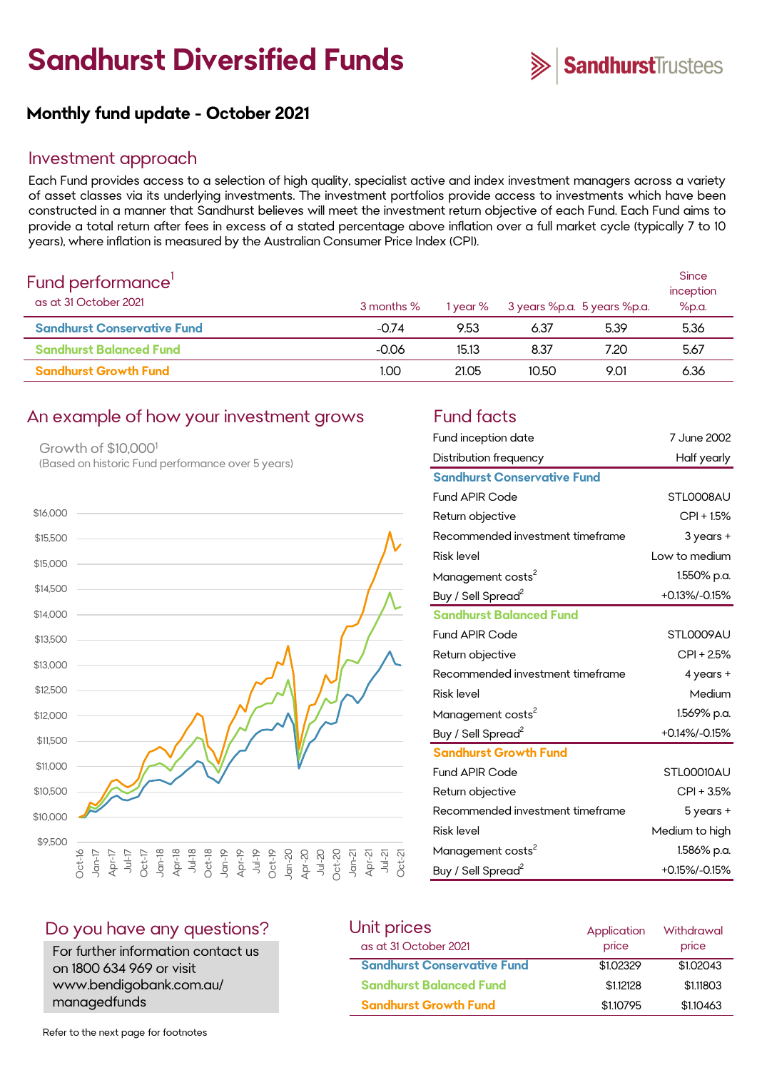# **Sandhurst Diversified Funds**



# **Monthly fund update - October 2021**

#### Investment approach

Each Fund provides access to a selection of high quality, specialist active and index investment managers across a variety of asset classes via its underlying investments. The investment portfolios provide access to investments which have been constructed in a manner that Sandhurst believes will meet the investment return objective of each Fund. Each Fund aims to provide a total return after fees in excess of a stated percentage above inflation over a full market cycle (typically 7 to 10 years), where inflation is measured by the Australian Consumer Price Index (CPI).

| Fund performance'<br>as at 31 October 2021 | 3 months % | 1 year % | 3 years %p.a. 5 years %p.a. |      | <b>Since</b><br>inception<br>%p.a. |
|--------------------------------------------|------------|----------|-----------------------------|------|------------------------------------|
| <b>Sandhurst Conservative Fund</b>         | $-0.74$    | 9.53     | 6.37                        | 5.39 | 5.36                               |
| <b>Sandhurst Balanced Fund</b>             | $-0.06$    | 15.13    | 8.37                        | 7.20 | 5.67                               |
| <b>Sandhurst Growth Fund</b>               | 1.00       | 21.05    | 10.50                       | 9.01 | 6.36                               |

### An example of how your investment grows Fund facts

Growth of \$10,000<sup>1</sup> (Based on historic Fund performance over 5 years)



| Fund inception date                | 7 June 2002    |
|------------------------------------|----------------|
| Distribution frequency             | Half yearly    |
| <b>Sandhurst Conservative Fund</b> |                |
| <b>Fund APIR Code</b>              | STLOOO8AU      |
| Return objective                   | $CPI + 1.5%$   |
| Recommended investment timeframe   | 3 years +      |
| <b>Risk level</b>                  | Low to medium  |
| Management costs <sup>2</sup>      | 1.550% p.a.    |
| Buy / Sell Spread <sup>2</sup>     | +0.13%/-0.15%  |
| <b>Sandhurst Balanced Fund</b>     |                |
| <b>Fund APIR Code</b>              | STL0009AU      |
| Return objective                   | CPI + 2.5%     |
| Recommended investment timeframe   | 4 years +      |
| <b>Risk level</b>                  | Medium         |
| Management costs <sup>2</sup>      | 1.569% p.a.    |
| Buy / Sell Spread <sup>2</sup>     | +0.14%/-0.15%  |
| <b>Sandhurst Growth Fund</b>       |                |
| <b>Fund APIR Code</b>              | STLOOO10AU     |
| Return objective                   | CPI + 3.5%     |
| Recommended investment timeframe   | 5 years +      |
| <b>Risk level</b>                  | Medium to high |
| Management costs <sup>2</sup>      | 1.586% p.a.    |
| Buy / Sell Spread <sup>2</sup>     | +0.15%/-0.15%  |

#### Do you have any questions?

For further information contact us on 1800 634 969 or visit www.bendigobank.com.au/ managedfunds

| Unit prices                        | Application | Withdrawal |
|------------------------------------|-------------|------------|
| as at 31 October 2021              | price       | price      |
| <b>Sandhurst Conservative Fund</b> | \$1,02329   | \$1,02043  |
| <b>Sandhurst Balanced Fund</b>     | \$1,12128   | \$1.11803  |
| <b>Sandhurst Growth Fund</b>       | \$1,10795   | \$1,10463  |

Refer to the next page for footnotes